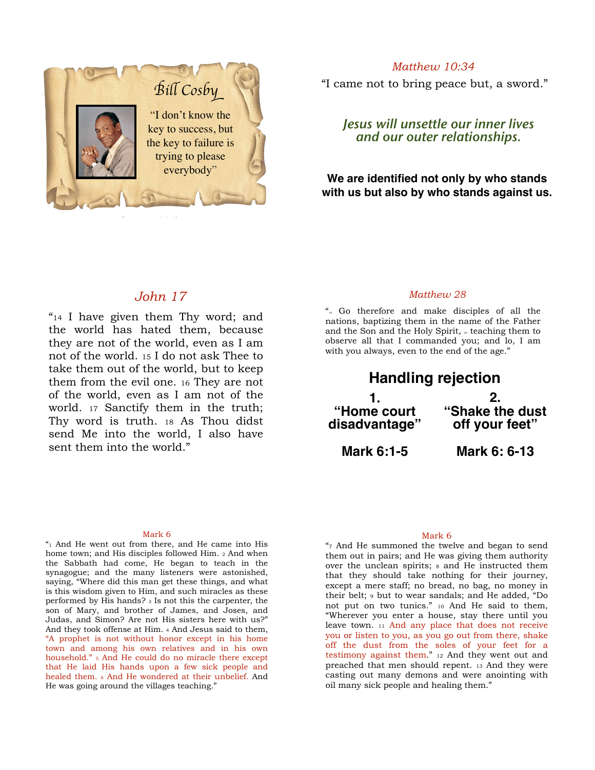

*Matthew 10:34*

"I came not to bring peace but, a sword."

*Jesus will unsettle our inner lives and our outer relationships.*

**We are identified not only by who stands with us but also by who stands against us.**

### *John 17*

"14 I have given them Thy word; and the world has hated them, because they are not of the world, even as I am not of the world. 15 I do not ask Thee to take them out of the world, but to keep them from the evil one. 16 They are not of the world, even as I am not of the world. 17 Sanctify them in the truth; Thy word is truth. 18 As Thou didst send Me into the world, I also have sent them into the world."

### *Matthew 28*

"19 Go therefore and make disciples of all the nations, baptizing them in the name of the Father and the Son and the Holy Spirit,  $\alpha$  teaching them to observe all that I commanded you; and lo, I am with you always, even to the end of the age."

| <b>Handling rejection</b>   |                                 |
|-----------------------------|---------------------------------|
| "Home court"                | $\mathbf{2}$<br>"Shake the dust |
| disadvantage"<br>Mark 6:1-5 | off your feet"<br>Mark 6: 6-13  |
|                             |                                 |

#### Mark 6

"1 And He went out from there, and He came into His home town; and His disciples followed Him. 2 And when the Sabbath had come, He began to teach in the synagogue; and the many listeners were astonished, saying, "Where did this man get these things, and what is this wisdom given to Him, and such miracles as these performed by His hands? 3 Is not this the carpenter, the son of Mary, and brother of James, and Joses, and Judas, and Simon? Are not His sisters here with us?" And they took offense at Him. 4 And Jesus said to them, "A prophet is not without honor except in his home town and among his own relatives and in his own household." 5 And He could do no miracle there except that He laid His hands upon a few sick people and healed them. 6 And He wondered at their unbelief. And He was going around the villages teaching."

#### Mark 6

"7 And He summoned the twelve and began to send them out in pairs; and He was giving them authority over the unclean spirits;  $s$  and He instructed them that they should take nothing for their journey, except a mere staff; no bread, no bag, no money in their belt; 9 but to wear sandals; and He added, "Do not put on two tunics." 10 And He said to them, "Wherever you enter a house, stay there until you leave town. 11 And any place that does not receive you or listen to you, as you go out from there, shake off the dust from the soles of your feet for a testimony against them." 12 And they went out and preached that men should repent. 13 And they were casting out many demons and were anointing with oil many sick people and healing them."